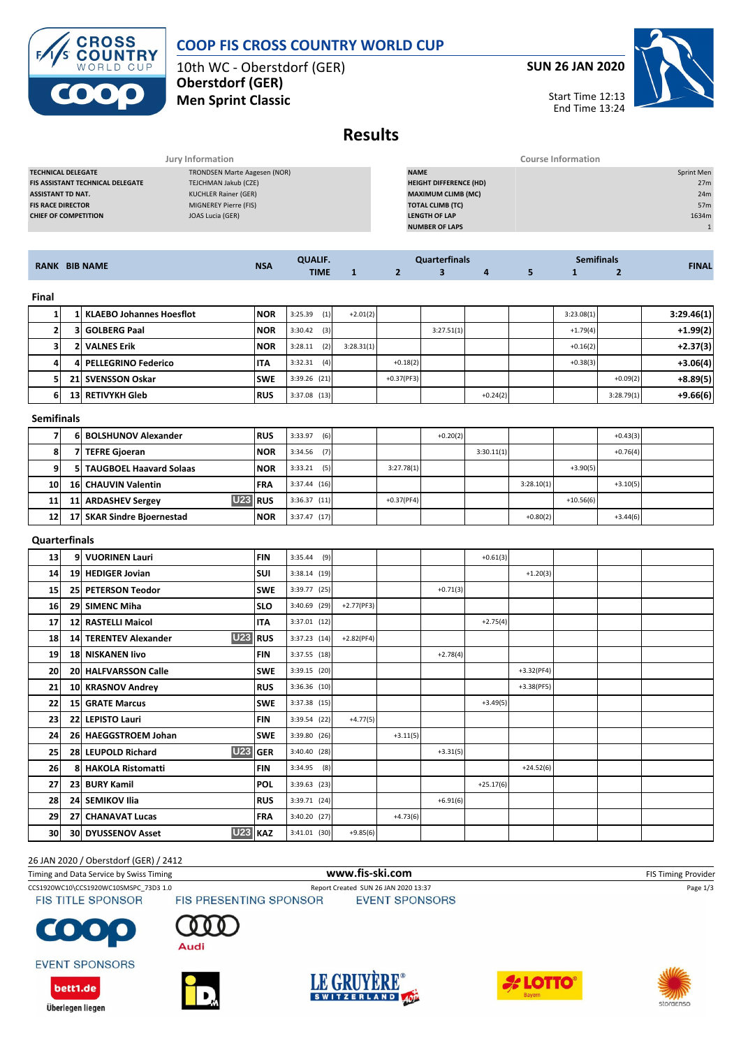**COOP FIS CROSS COUNTRY WORLD CUP**

10th WC - Oberstdorf (GER) **Oberstdorf (GER) Men Sprint Classic**

**CROSS<br>COUNTRY** WORLD CUP

**SUN 26 JAN 2020**

Start Time 12:13 End Time 13:24



**Results**

|                                         | Jury Information             | <b>Course Information</b>     |            |
|-----------------------------------------|------------------------------|-------------------------------|------------|
| <b>TECHNICAL DELEGATE</b>               | TRONDSEN Marte Aagesen (NOR) | <b>NAME</b>                   | Sprint Men |
| <b>FIS ASSISTANT TECHNICAL DELEGATE</b> | TEJCHMAN Jakub (CZE)         | <b>HEIGHT DIFFERENCE (HD)</b> | 27m        |
| <b>ASSISTANT TD NAT.</b>                | KUCHLER Rainer (GER)         | <b>MAXIMUM CLIMB (MC)</b>     | 24m        |
| <b>FIS RACE DIRECTOR</b>                | MIGNEREY Pierre (FIS)        | <b>TOTAL CLIMB (TC)</b>       | 57m        |
| <b>CHIEF OF COMPETITION</b>             | JOAS Lucia (GER)             | <b>LENGTH OF LAP</b>          | 1634m      |
|                                         |                              | <b>NUMBER OF LAPS</b>         |            |
|                                         |                              |                               |            |

| <b>RANK BIB NAME</b> |                 |                                         |            | <b>QUALIF.</b> |              | <b>Quarterfinals</b> |                         |             |              | <b>Semifinals</b> |                | <b>FINAL</b> |
|----------------------|-----------------|-----------------------------------------|------------|----------------|--------------|----------------------|-------------------------|-------------|--------------|-------------------|----------------|--------------|
|                      |                 |                                         | <b>NSA</b> | <b>TIME</b>    | $\mathbf{1}$ | $\overline{2}$       | $\overline{\mathbf{3}}$ | 4           | 5            | $\mathbf{1}$      | $\overline{2}$ |              |
| Final                |                 |                                         |            |                |              |                      |                         |             |              |                   |                |              |
| $\mathbf{1}$         | 1               | <b>KLAEBO Johannes Hoesflot</b>         | <b>NOR</b> | 3:25.39<br>(1) | $+2.01(2)$   |                      |                         |             |              | 3:23.08(1)        |                | 3:29.46(1)   |
| $\overline{2}$       | 3               | <b>GOLBERG Paal</b>                     | <b>NOR</b> | 3:30.42<br>(3) |              |                      | 3:27.51(1)              |             |              | $+1.79(4)$        |                | $+1.99(2)$   |
| 3                    | 2               | <b>VALNES Erik</b>                      | <b>NOR</b> | 3:28.11<br>(2) | 3:28.31(1)   |                      |                         |             |              | $+0.16(2)$        |                | $+2.37(3)$   |
| 4                    | 4               | <b>PELLEGRINO Federico</b>              | <b>ITA</b> | 3:32.31<br>(4) |              | $+0.18(2)$           |                         |             |              | $+0.38(3)$        |                | $+3.06(4)$   |
| 5                    | 21              | <b>SVENSSON Oskar</b>                   | <b>SWE</b> | 3:39.26 (21)   |              | $+0.37(PF3)$         |                         |             |              |                   | $+0.09(2)$     | $+8.89(5)$   |
| 6                    | 13              | <b>RETIVYKH Gleb</b>                    | <b>RUS</b> | 3:37.08 (13)   |              |                      |                         | $+0.24(2)$  |              |                   | 3:28.79(1)     | $+9.66(6)$   |
| <b>Semifinals</b>    |                 |                                         |            |                |              |                      |                         |             |              |                   |                |              |
| 7                    | 6               | <b>BOLSHUNOV Alexander</b>              | <b>RUS</b> | 3:33.97<br>(6) |              |                      | $+0.20(2)$              |             |              |                   | $+0.43(3)$     |              |
| 8                    |                 | 7 TEFRE Gjoeran                         | <b>NOR</b> | (7)<br>3:34.56 |              |                      |                         | 3:30.11(1)  |              |                   | $+0.76(4)$     |              |
| 9                    | 51              | <b>TAUGBOEL Haavard Solaas</b>          | <b>NOR</b> | (5)<br>3:33.21 |              | 3:27.78(1)           |                         |             |              | $+3.90(5)$        |                |              |
| 10                   | <b>16</b>       | <b>CHAUVIN Valentin</b>                 | FRA        | 3:37.44 (16)   |              |                      |                         |             | 3:28.10(1)   |                   | $+3.10(5)$     |              |
| 11                   | 11              | <b>U23</b><br><b>ARDASHEV Sergey</b>    | <b>RUS</b> | $3:36.37$ (11) |              | $+0.37(PF4)$         |                         |             |              | $+10.56(6)$       |                |              |
| 12                   |                 | 17 SKAR Sindre Bjoernestad              | <b>NOR</b> | 3:37.47 (17)   |              |                      |                         |             | $+0.80(2)$   |                   | $+3.44(6)$     |              |
| <b>Quarterfinals</b> |                 |                                         |            |                |              |                      |                         |             |              |                   |                |              |
| 13                   |                 | 9 VUORINEN Lauri                        | <b>FIN</b> | 3:35.44<br>(9) |              |                      |                         | $+0.61(3)$  |              |                   |                |              |
| 14                   | 19 <sup>1</sup> | <b>HEDIGER Jovian</b>                   | <b>SUI</b> | $3:38.14$ (19) |              |                      |                         |             | $+1.20(3)$   |                   |                |              |
| 15                   | 25              | <b>PETERSON Teodor</b>                  | <b>SWE</b> | 3:39.77 (25)   |              |                      | $+0.71(3)$              |             |              |                   |                |              |
| 16                   | 29              | <b>SIMENC Miha</b>                      | <b>SLO</b> | 3:40.69 (29)   | $+2.77(PF3)$ |                      |                         |             |              |                   |                |              |
| 17                   | 12              | <b>RASTELLI Maicol</b>                  | <b>ITA</b> | 3:37.01 (12)   |              |                      |                         | $+2.75(4)$  |              |                   |                |              |
| 18                   | 14 <sup>1</sup> | <b>U23</b><br><b>TERENTEV Alexander</b> | <b>RUS</b> | $3:37.23$ (14) | $+2.82(PF4)$ |                      |                         |             |              |                   |                |              |
| 19                   | <b>18</b>       | <b>NISKANEN livo</b>                    | <b>FIN</b> | $3:37.55$ (18) |              |                      | $+2.78(4)$              |             |              |                   |                |              |
| 20                   | 20              | <b>HALFVARSSON Calle</b>                | <b>SWE</b> | 3:39.15 (20)   |              |                      |                         |             | $+3.32(PF4)$ |                   |                |              |
| 21                   | 10              | <b>KRASNOV Andrey</b>                   | <b>RUS</b> | 3:36.36 (10)   |              |                      |                         |             | $+3.38(PF5)$ |                   |                |              |
| 22                   | 15              | <b>GRATE Marcus</b>                     | <b>SWE</b> | 3:37.38 (15)   |              |                      |                         | $+3.49(5)$  |              |                   |                |              |
| 23                   | 22              | <b>LEPISTO Lauri</b>                    | <b>FIN</b> | 3:39.54 (22)   | $+4.77(5)$   |                      |                         |             |              |                   |                |              |
| 24                   | 26              | <b>HAEGGSTROEM Johan</b>                | <b>SWE</b> | 3:39.80 (26)   |              | $+3.11(5)$           |                         |             |              |                   |                |              |
| 25                   | 28              | <b>U23</b><br><b>LEUPOLD Richard</b>    | <b>GER</b> | 3:40.40 (28)   |              |                      | $+3.31(5)$              |             |              |                   |                |              |
| 26                   | 8               | <b>HAKOLA Ristomatti</b>                | <b>FIN</b> | 3:34.95<br>(8) |              |                      |                         |             | $+24.52(6)$  |                   |                |              |
| 27                   | 23              | <b>BURY Kamil</b>                       | POL        | 3:39.63 (23)   |              |                      |                         | $+25.17(6)$ |              |                   |                |              |
| 28                   | 24              | <b>SEMIKOV Ilia</b>                     | <b>RUS</b> | 3:39.71 (24)   |              |                      | $+6.91(6)$              |             |              |                   |                |              |
| 29                   | 27              | <b>CHANAVAT Lucas</b>                   | <b>FRA</b> | $3:40.20$ (27) |              | $+4.73(6)$           |                         |             |              |                   |                |              |

#### 26 JAN 2020 / Oberstdorf (GER) / 2412

Timing and Data Service by Swiss Timing **WWW.fis-Ski.com WWW.fis-Ski.com** FIS Timing Provider

CCS1920WC10\CCS1920WC10SMSPC\_73D3 1.0 Report Created SUN 26 JAN 2020 13:37 Page 1/3<br>
FIS TITLE SPONSOR FIS PRESENTING SPONSOR EVENT SPONSORS

**EVENT SPONSORS** 

bett1.de

Überlegen liegen

 $\bullet$  .  $\blacksquare$ 

 $\Omega$ **Audi** 

**30 30 DYUSSENOV Asset U23 KAZ** 3:41.01 (30) +9.85(6)





**EVENT SPONSORS** 



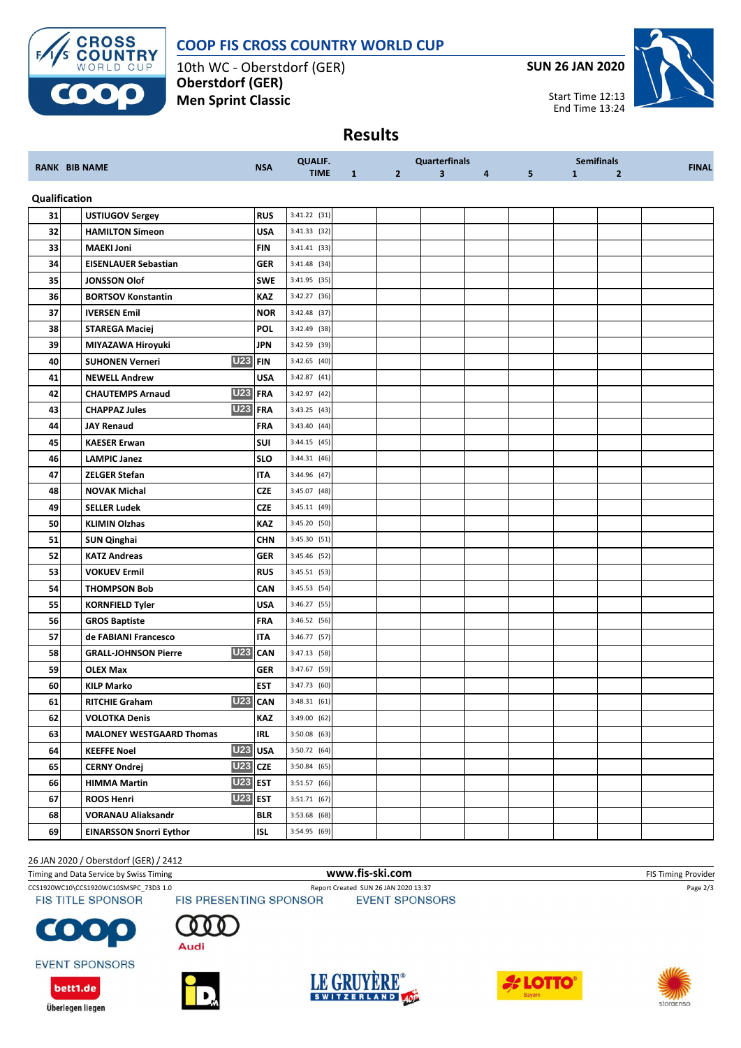

**Oberstdorf (GER) Men Sprint Classic** **SUN 26 JAN 2020**



# **Results**

| <b>RANK BIB NAME</b> |  |                                           | <b>NSA</b> | <b>QUALIF.</b> |              |                | Quarterfinals           |   |   |              | <b>Semifinals</b> | <b>FINAL</b> |
|----------------------|--|-------------------------------------------|------------|----------------|--------------|----------------|-------------------------|---|---|--------------|-------------------|--------------|
|                      |  |                                           |            | <b>TIME</b>    | $\mathbf{1}$ | $\overline{2}$ | $\overline{\mathbf{3}}$ | 4 | 5 | $\mathbf{1}$ | $\overline{2}$    |              |
| Qualification        |  |                                           |            |                |              |                |                         |   |   |              |                   |              |
| 31                   |  | <b>USTIUGOV Sergey</b>                    | <b>RUS</b> | $3:41.22$ (31) |              |                |                         |   |   |              |                   |              |
| 32                   |  | <b>HAMILTON Simeon</b>                    | USA        | 3:41.33 (32)   |              |                |                         |   |   |              |                   |              |
| 33                   |  | <b>MAEKI Joni</b>                         | FIN        | 3:41.41 (33)   |              |                |                         |   |   |              |                   |              |
| 34                   |  | <b>EISENLAUER Sebastian</b>               | <b>GER</b> | 3:41.48 (34)   |              |                |                         |   |   |              |                   |              |
| 35                   |  | <b>JONSSON Olof</b>                       | <b>SWE</b> | 3:41.95 (35)   |              |                |                         |   |   |              |                   |              |
| 36                   |  | <b>BORTSOV Konstantin</b>                 | KAZ        | 3:42.27 (36)   |              |                |                         |   |   |              |                   |              |
| 37                   |  | <b>IVERSEN Emil</b>                       | <b>NOR</b> | 3:42.48 (37)   |              |                |                         |   |   |              |                   |              |
| 38                   |  | <b>STAREGA Maciej</b>                     | <b>POL</b> | 3:42.49 (38)   |              |                |                         |   |   |              |                   |              |
| 39                   |  | MIYAZAWA Hiroyuki                         | <b>JPN</b> | 3:42.59 (39)   |              |                |                         |   |   |              |                   |              |
| 40                   |  | <b>U23</b><br><b>SUHONEN Verneri</b>      | <b>FIN</b> | 3:42.65 (40)   |              |                |                         |   |   |              |                   |              |
| 41                   |  | <b>NEWELL Andrew</b>                      | <b>USA</b> | 3:42.87 (41)   |              |                |                         |   |   |              |                   |              |
| 42                   |  | <b>U23</b><br><b>CHAUTEMPS Arnaud</b>     | <b>FRA</b> | 3:42.97 (42)   |              |                |                         |   |   |              |                   |              |
| 43                   |  | <b>U23</b><br><b>CHAPPAZ Jules</b>        | <b>FRA</b> | 3:43.25 (43)   |              |                |                         |   |   |              |                   |              |
| 44                   |  | <b>JAY Renaud</b>                         | <b>FRA</b> | 3:43.40 (44)   |              |                |                         |   |   |              |                   |              |
| 45                   |  | <b>KAESER Erwan</b>                       | SUI        | 3:44.15 (45)   |              |                |                         |   |   |              |                   |              |
| 46                   |  | <b>LAMPIC Janez</b>                       | <b>SLO</b> | 3:44.31 (46)   |              |                |                         |   |   |              |                   |              |
| 47                   |  | <b>ZELGER Stefan</b>                      | <b>ITA</b> | 3:44.96 (47)   |              |                |                         |   |   |              |                   |              |
| 48                   |  | <b>NOVAK Michal</b>                       | <b>CZE</b> | 3:45.07 (48)   |              |                |                         |   |   |              |                   |              |
| 49                   |  | <b>SELLER Ludek</b>                       | CZE        | $3:45.11$ (49) |              |                |                         |   |   |              |                   |              |
| 50                   |  | <b>KLIMIN Olzhas</b>                      | KAZ        | 3:45.20 (50)   |              |                |                         |   |   |              |                   |              |
| 51                   |  | <b>SUN Qinghai</b>                        | CHN        | 3:45.30 (51)   |              |                |                         |   |   |              |                   |              |
| 52                   |  | <b>KATZ Andreas</b>                       | <b>GER</b> | 3:45.46 (52)   |              |                |                         |   |   |              |                   |              |
| 53                   |  | <b>VOKUEV Ermil</b>                       | <b>RUS</b> | 3:45.51 (53)   |              |                |                         |   |   |              |                   |              |
| 54                   |  | <b>THOMPSON Bob</b>                       | CAN        | 3:45.53 (54)   |              |                |                         |   |   |              |                   |              |
| 55                   |  | <b>KORNFIELD Tyler</b>                    | USA        | 3:46.27 (55)   |              |                |                         |   |   |              |                   |              |
| 56                   |  | <b>GROS Baptiste</b>                      | <b>FRA</b> | 3:46.52 (56)   |              |                |                         |   |   |              |                   |              |
| 57                   |  | de FABIANI Francesco                      | <b>ITA</b> | 3:46.77 (57)   |              |                |                         |   |   |              |                   |              |
| 58                   |  | <b>U23</b><br><b>GRALL-JOHNSON Pierre</b> | <b>CAN</b> | 3:47.13 (58)   |              |                |                         |   |   |              |                   |              |
| 59                   |  | <b>OLEX Max</b>                           | <b>GER</b> | 3:47.67 (59)   |              |                |                         |   |   |              |                   |              |
| 60                   |  | <b>KILP Marko</b>                         | <b>EST</b> | 3:47.73 (60)   |              |                |                         |   |   |              |                   |              |
| 61                   |  | <b>U23</b><br><b>RITCHIE Graham</b>       | CAN        | 3:48.31(61)    |              |                |                         |   |   |              |                   |              |
| 62                   |  | VOLOTKA Denis                             | KAZ        | 3:49.00 (62)   |              |                |                         |   |   |              |                   |              |
| 63                   |  | <b>MALONEY WESTGAARD Thomas</b>           | <b>IRL</b> | 3:50.08 (63)   |              |                |                         |   |   |              |                   |              |
| 64                   |  | <b>KEEFFE Noel</b>                        | U23 USA    | 3:50.72 (64)   |              |                |                         |   |   |              |                   |              |
| 65                   |  | $U23$ CZE<br><b>CERNY Ondrej</b>          |            | 3:50.84 (65)   |              |                |                         |   |   |              |                   |              |
| 66                   |  | <b>U23 EST</b><br><b>HIMMA Martin</b>     |            | 3:51.57 (66)   |              |                |                         |   |   |              |                   |              |
| 67                   |  | <b>U23 EST</b><br><b>ROOS Henri</b>       |            | 3:51.71 (67)   |              |                |                         |   |   |              |                   |              |
| 68                   |  | <b>VORANAU Aliaksandr</b>                 | <b>BLR</b> | 3:53.68 (68)   |              |                |                         |   |   |              |                   |              |
| 69                   |  | <b>EINARSSON Snorri Eythor</b>            | <b>ISL</b> | 3:54.95 (69)   |              |                |                         |   |   |              |                   |              |

26 JAN 2020 / Oberstdorf (GER) / 2412

Timing and Data Service by Swiss Timing **WWW.fis-Ski.com WWW.fis-Ski.com** FIS Timing Provider

CCS1920WC10\CCS1920WC10SMSPC\_73D3 1.0 Report Created SUN 26 JAN 2020 13:37 Page 2/3<br>FIS TITLE SPONSOR FIS PRESENTING SPONSOR EVENT SPONSORS





**EVENT SPONSORS** 

bett1.de

Überlegen liegen